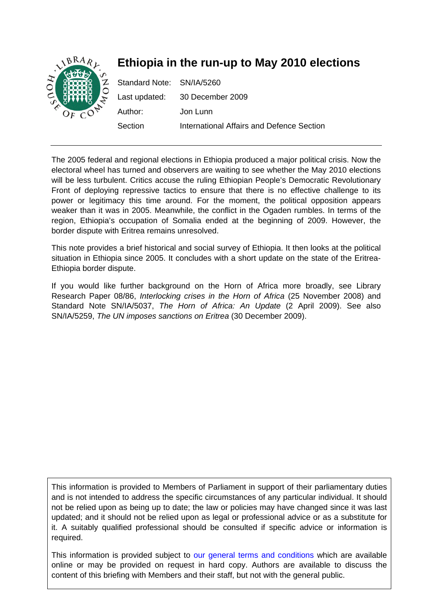

The 2005 federal and regional elections in Ethiopia produced a major political crisis. Now the electoral wheel has turned and observers are waiting to see whether the May 2010 elections will be less turbulent. Critics accuse the ruling Ethiopian People's Democratic Revolutionary Front of deploying repressive tactics to ensure that there is no effective challenge to its power or legitimacy this time around. For the moment, the political opposition appears weaker than it was in 2005. Meanwhile, the conflict in the Ogaden rumbles. In terms of the region, Ethiopia's occupation of Somalia ended at the beginning of 2009. However, the border dispute with Eritrea remains unresolved.

This note provides a brief historical and social survey of Ethiopia. It then looks at the political situation in Ethiopia since 2005. It concludes with a short update on the state of the Eritrea-Ethiopia border dispute.

If you would like further background on the Horn of Africa more broadly, see Library Research Paper 08/86, *Interlocking crises in the Horn of Africa* (25 November 2008) and Standard Note SN/IA/5037, *The Horn of Africa: An Update* (2 April 2009). See also SN/IA/5259, *The UN imposes sanctions on Eritrea* (30 December 2009).

This information is provided to Members of Parliament in support of their parliamentary duties and is not intended to address the specific circumstances of any particular individual. It should not be relied upon as being up to date; the law or policies may have changed since it was last updated; and it should not be relied upon as legal or professional advice or as a substitute for it. A suitably qualified professional should be consulted if specific advice or information is required.

This information is provided subject to [our general terms and conditions](http://www.parliament.uk/site_information/parliamentary_copyright.cfm) which are available online or may be provided on request in hard copy. Authors are available to discuss the content of this briefing with Members and their staff, but not with the general public.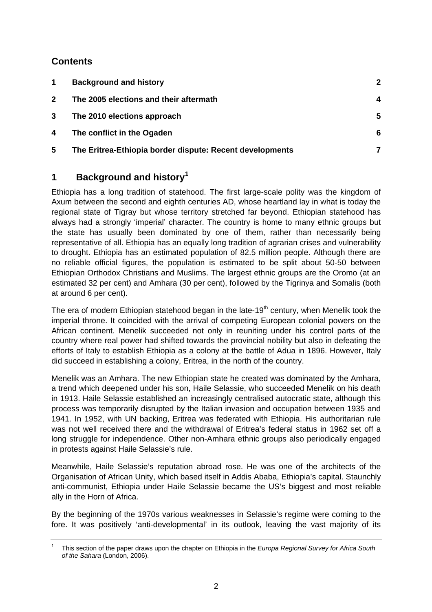## <span id="page-1-0"></span>**Contents**

| $\blacktriangleleft$ | <b>Background and history</b>                            | 2 |
|----------------------|----------------------------------------------------------|---|
| $\mathbf{2}$         | The 2005 elections and their aftermath                   | 4 |
| 3                    | The 2010 elections approach                              | 5 |
| 4                    | The conflict in the Ogaden                               | 6 |
| 5                    | The Eritrea-Ethiopia border dispute: Recent developments |   |

# **1 Background and history[1](#page-1-1)**

Ethiopia has a long tradition of statehood. The first large-scale polity was the kingdom of Axum between the second and eighth centuries AD, whose heartland lay in what is today the regional state of Tigray but whose territory stretched far beyond. Ethiopian statehood has always had a strongly 'imperial' character. The country is home to many ethnic groups but the state has usually been dominated by one of them, rather than necessarily being representative of all. Ethiopia has an equally long tradition of agrarian crises and vulnerability to drought. Ethiopia has an estimated population of 82.5 million people. Although there are no reliable official figures, the population is estimated to be split about 50-50 between Ethiopian Orthodox Christians and Muslims. The largest ethnic groups are the Oromo (at an estimated 32 per cent) and Amhara (30 per cent), followed by the Tigrinya and Somalis (both at around 6 per cent).

The era of modern Ethiopian statehood began in the late-19<sup>th</sup> century, when Menelik took the imperial throne. It coincided with the arrival of competing European colonial powers on the African continent. Menelik succeeded not only in reuniting under his control parts of the country where real power had shifted towards the provincial nobility but also in defeating the efforts of Italy to establish Ethiopia as a colony at the battle of Adua in 1896. However, Italy did succeed in establishing a colony, Eritrea, in the north of the country.

Menelik was an Amhara. The new Ethiopian state he created was dominated by the Amhara, a trend which deepened under his son, Haile Selassie, who succeeded Menelik on his death in 1913. Haile Selassie established an increasingly centralised autocratic state, although this process was temporarily disrupted by the Italian invasion and occupation between 1935 and 1941. In 1952, with UN backing, Eritrea was federated with Ethiopia. His authoritarian rule was not well received there and the withdrawal of Eritrea's federal status in 1962 set off a long struggle for independence. Other non-Amhara ethnic groups also periodically engaged in protests against Haile Selassie's rule.

Meanwhile, Haile Selassie's reputation abroad rose. He was one of the architects of the Organisation of African Unity, which based itself in Addis Ababa, Ethiopia's capital. Staunchly anti-communist, Ethiopia under Haile Selassie became the US's biggest and most reliable ally in the Horn of Africa.

By the beginning of the 1970s various weaknesses in Selassie's regime were coming to the fore. It was positively 'anti-developmental' in its outlook, leaving the vast majority of its

<span id="page-1-1"></span><sup>1</sup> This section of the paper draws upon the chapter on Ethiopia in the *Europa Regional Survey for Africa South of the Sahara* (London, 2006).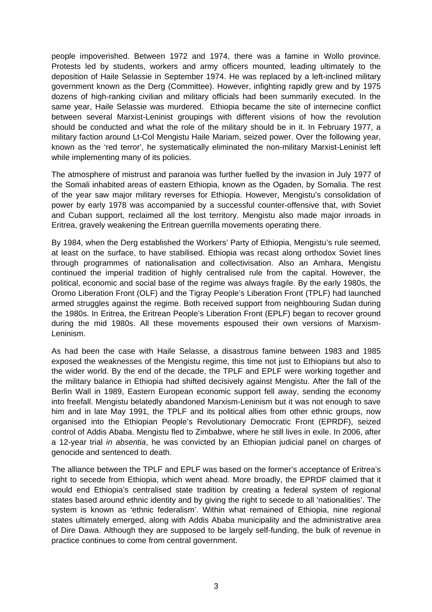people impoverished. Between 1972 and 1974, there was a famine in Wollo province. Protests led by students, workers and army officers mounted, leading ultimately to the deposition of Haile Selassie in September 1974. He was replaced by a left-inclined military government known as the Derg (Committee). However, infighting rapidly grew and by 1975 dozens of high-ranking civilian and military officials had been summarily executed. In the same year, Haile Selassie was murdered. Ethiopia became the site of internecine conflict between several Marxist-Leninist groupings with different visions of how the revolution should be conducted and what the role of the military should be in it. In February 1977, a military faction around Lt-Col Mengistu Haile Mariam, seized power. Over the following year, known as the 'red terror', he systematically eliminated the non-military Marxist-Leninist left while implementing many of its policies.

The atmosphere of mistrust and paranoia was further fuelled by the invasion in July 1977 of the Somali inhabited areas of eastern Ethiopia, known as the Ogaden, by Somalia. The rest of the year saw major military reverses for Ethiopia. However, Mengistu's consolidation of power by early 1978 was accompanied by a successful counter-offensive that, with Soviet and Cuban support, reclaimed all the lost territory. Mengistu also made major inroads in Eritrea, gravely weakening the Eritrean guerrilla movements operating there.

By 1984, when the Derg established the Workers' Party of Ethiopia, Mengistu's rule seemed, at least on the surface, to have stabilised. Ethiopia was recast along orthodox Soviet lines through programmes of nationalisation and collectivisation. Also an Amhara, Mengistu continued the imperial tradition of highly centralised rule from the capital. However, the political, economic and social base of the regime was always fragile. By the early 1980s, the Oromo Liberation Front (OLF) and the Tigray People's Liberation Front (TPLF) had launched armed struggles against the regime. Both received support from neighbouring Sudan during the 1980s. In Eritrea, the Eritrean People's Liberation Front (EPLF) began to recover ground during the mid 1980s. All these movements espoused their own versions of Marxism-Leninism.

As had been the case with Haile Selasse, a disastrous famine between 1983 and 1985 exposed the weaknesses of the Mengistu regime, this time not just to Ethiopians but also to the wider world. By the end of the decade, the TPLF and EPLF were working together and the military balance in Ethiopia had shifted decisively against Mengistu. After the fall of the Berlin Wall in 1989, Eastern European economic support fell away, sending the economy into freefall. Mengistu belatedly abandoned Marxism-Leninism but it was not enough to save him and in late May 1991, the TPLF and its political allies from other ethnic groups, now organised into the Ethiopian People's Revolutionary Democratic Front (EPRDF), seized control of Addis Ababa. Mengistu fled to Zimbabwe, where he still lives in exile. In 2006, after a 12-year trial *in absentia*, he was convicted by an Ethiopian judicial panel on charges of genocide and sentenced to death.

The alliance between the TPLF and EPLF was based on the former's acceptance of Eritrea's right to secede from Ethiopia, which went ahead. More broadly, the EPRDF claimed that it would end Ethiopia's centralised state tradition by creating a federal system of regional states based around ethnic identity and by giving the right to secede to all 'nationalities'. The system is known as 'ethnic federalism'. Within what remained of Ethiopia, nine regional states ultimately emerged, along with Addis Ababa municipality and the administrative area of Dire Dawa. Although they are supposed to be largely self-funding, the bulk of revenue in practice continues to come from central government.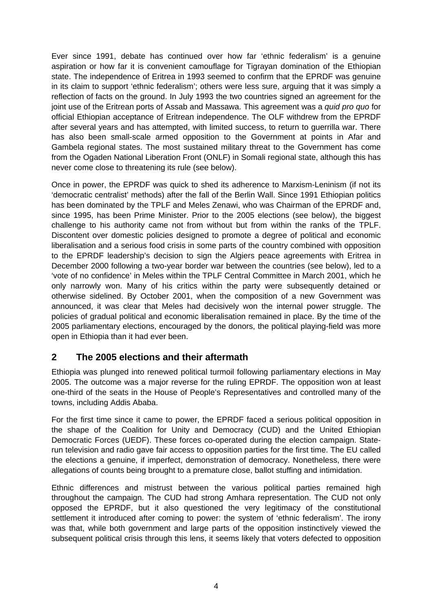<span id="page-3-0"></span>Ever since 1991, debate has continued over how far 'ethnic federalism' is a genuine aspiration or how far it is convenient camouflage for Tigrayan domination of the Ethiopian state. The independence of Eritrea in 1993 seemed to confirm that the EPRDF was genuine in its claim to support 'ethnic federalism'; others were less sure, arguing that it was simply a reflection of facts on the ground. In July 1993 the two countries signed an agreement for the joint use of the Eritrean ports of Assab and Massawa. This agreement was a *quid pro quo* for official Ethiopian acceptance of Eritrean independence. The OLF withdrew from the EPRDF after several years and has attempted, with limited success, to return to guerrilla war. There has also been small-scale armed opposition to the Government at points in Afar and Gambela regional states. The most sustained military threat to the Government has come from the Ogaden National Liberation Front (ONLF) in Somali regional state, although this has never come close to threatening its rule (see below).

Once in power, the EPRDF was quick to shed its adherence to Marxism-Leninism (if not its 'democratic centralist' methods) after the fall of the Berlin Wall. Since 1991 Ethiopian politics has been dominated by the TPLF and Meles Zenawi, who was Chairman of the EPRDF and, since 1995, has been Prime Minister. Prior to the 2005 elections (see below), the biggest challenge to his authority came not from without but from within the ranks of the TPLF. Discontent over domestic policies designed to promote a degree of political and economic liberalisation and a serious food crisis in some parts of the country combined with opposition to the EPRDF leadership's decision to sign the Algiers peace agreements with Eritrea in December 2000 following a two-year border war between the countries (see below), led to a 'vote of no confidence' in Meles within the TPLF Central Committee in March 2001, which he only narrowly won. Many of his critics within the party were subsequently detained or otherwise sidelined. By October 2001, when the composition of a new Government was announced, it was clear that Meles had decisively won the internal power struggle. The policies of gradual political and economic liberalisation remained in place. By the time of the 2005 parliamentary elections, encouraged by the donors, the political playing-field was more open in Ethiopia than it had ever been.

## **2 The 2005 elections and their aftermath**

Ethiopia was plunged into renewed political turmoil following parliamentary elections in May 2005. The outcome was a major reverse for the ruling EPRDF. The opposition won at least one-third of the seats in the House of People's Representatives and controlled many of the towns, including Addis Ababa.

For the first time since it came to power, the EPRDF faced a serious political opposition in the shape of the Coalition for Unity and Democracy (CUD) and the United Ethiopian Democratic Forces (UEDF). These forces co-operated during the election campaign. Staterun television and radio gave fair access to opposition parties for the first time. The EU called the elections a genuine, if imperfect, demonstration of democracy. Nonetheless, there were allegations of counts being brought to a premature close, ballot stuffing and intimidation.

Ethnic differences and mistrust between the various political parties remained high throughout the campaign. The CUD had strong Amhara representation. The CUD not only opposed the EPRDF, but it also questioned the very legitimacy of the constitutional settlement it introduced after coming to power: the system of 'ethnic federalism'. The irony was that, while both government and large parts of the opposition instinctively viewed the subsequent political crisis through this lens, it seems likely that voters defected to opposition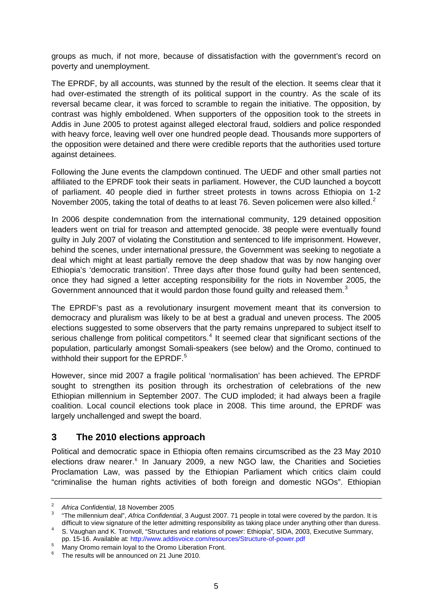<span id="page-4-0"></span>groups as much, if not more, because of dissatisfaction with the government's record on poverty and unemployment.

The EPRDF, by all accounts, was stunned by the result of the election. It seems clear that it had over-estimated the strength of its political support in the country. As the scale of its reversal became clear, it was forced to scramble to regain the initiative. The opposition, by contrast was highly emboldened. When supporters of the opposition took to the streets in Addis in June 2005 to protest against alleged electoral fraud, soldiers and police responded with heavy force, leaving well over one hundred people dead. Thousands more supporters of the opposition were detained and there were credible reports that the authorities used torture against detainees.

Following the June events the clampdown continued. The UEDF and other small parties not affiliated to the EPRDF took their seats in parliament. However, the CUD launched a boycott of parliament. 40 people died in further street protests in towns across Ethiopia on 1-2 November [2](#page-4-1)005, taking the total of deaths to at least 76. Seven policemen were also killed.<sup>2</sup>

In 2006 despite condemnation from the international community, 129 detained opposition leaders went on trial for treason and attempted genocide. 38 people were eventually found guilty in July 2007 of violating the Constitution and sentenced to life imprisonment. However, behind the scenes, under international pressure, the Government was seeking to negotiate a deal which might at least partially remove the deep shadow that was by now hanging over Ethiopia's 'democratic transition'. Three days after those found guilty had been sentenced, once they had signed a letter accepting responsibility for the riots in November 2005, the Government announced that it would pardon those found guilty and released them.<sup>[3](#page-4-2)</sup>

The EPRDF's past as a revolutionary insurgent movement meant that its conversion to democracy and pluralism was likely to be at best a gradual and uneven process. The 2005 elections suggested to some observers that the party remains unprepared to subject itself to serious challenge from political competitors.<sup>[4](#page-4-3)</sup> It seemed clear that significant sections of the population, particularly amongst Somali-speakers (see below) and the Oromo, continued to withhold their support for the EPRDF.<sup>[5](#page-4-4)</sup>

However, since mid 2007 a fragile political 'normalisation' has been achieved. The EPRDF sought to strengthen its position through its orchestration of celebrations of the new Ethiopian millennium in September 2007. The CUD imploded; it had always been a fragile coalition. Local council elections took place in 2008. This time around, the EPRDF was largely unchallenged and swept the board.

#### **3 The 2010 elections approach**

Political and democratic space in Ethiopia often remains circumscribed as the 23 May 2010 elections draw nearer.<sup>[6](#page-4-5)</sup> In January 2009, a new NGO law, the Charities and Societies Proclamation Law, was passed by the Ethiopian Parliament which critics claim could "criminalise the human rights activities of both foreign and domestic NGOs". Ethiopian

<span id="page-4-2"></span><span id="page-4-1"></span><sup>2</sup> <sup>2</sup> Africa Confidential, 18 November 2005

 <sup>&</sup>quot;The millennium deal", *Africa Confidential*, 3 August 2007. 71 people in total were covered by the pardon. It is difficult to view signature of the letter admitting responsibility as taking place under anything other than duress. 4

<span id="page-4-3"></span>S. Vaughan and K. Tronvoll, "Structures and relations of power: Ethiopia", SIDA, 2003, Executive Summary, pp. 15-16. Available at: <http://www.addisvoice.com/resources/Structure-of-power.pdf><br>
<sup>5</sup> Mary Orange represents here the Orange Liberating Frest

Many Oromo remain loyal to the Oromo Liberation Front.

<span id="page-4-5"></span><span id="page-4-4"></span><sup>6</sup> The results will be announced on 21 June 2010.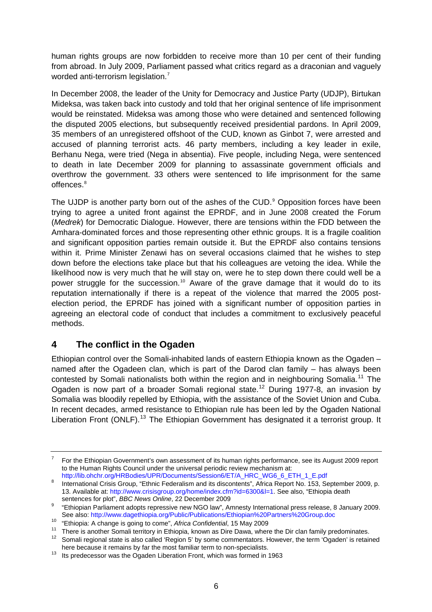<span id="page-5-0"></span>human rights groups are now forbidden to receive more than 10 per cent of their funding from abroad. In July 2009, Parliament passed what critics regard as a draconian and vaguely worded anti-terrorism legislation.<sup>[7](#page-5-1)</sup>

In December 2008, the leader of the Unity for Democracy and Justice Party (UDJP), Birtukan Mideksa, was taken back into custody and told that her original sentence of life imprisonment would be reinstated. Mideksa was among those who were detained and sentenced following the disputed 2005 elections, but subsequently received presidential pardons. In April 2009, 35 members of an unregistered offshoot of the CUD, known as Ginbot 7, were arrested and accused of planning terrorist acts. 46 party members, including a key leader in exile, Berhanu Nega, were tried (Nega in absentia). Five people, including Nega, were sentenced to death in late December 2009 for planning to assassinate government officials and overthrow the government. 33 others were sentenced to life imprisonment for the same offences.<sup>[8](#page-5-2)</sup>

The UJDP is another party born out of the ashes of the CUD.<sup>[9](#page-5-3)</sup> Opposition forces have been trying to agree a united front against the EPRDF, and in June 2008 created the Forum (*Medrek*) for Democratic Dialogue. However, there are tensions within the FDD between the Amhara-dominated forces and those representing other ethnic groups. It is a fragile coalition and significant opposition parties remain outside it. But the EPRDF also contains tensions within it. Prime Minister Zenawi has on several occasions claimed that he wishes to step down before the elections take place but that his colleagues are vetoing the idea. While the likelihood now is very much that he will stay on, were he to step down there could well be a power struggle for the succession.<sup>[10](#page-5-4)</sup> Aware of the grave damage that it would do to its reputation internationally if there is a repeat of the violence that marred the 2005 postelection period, the EPRDF has joined with a significant number of opposition parties in agreeing an electoral code of conduct that includes a commitment to exclusively peaceful methods.

#### **4 The conflict in the Ogaden**

Ethiopian control over the Somali-inhabited lands of eastern Ethiopia known as the Ogaden – named after the Ogadeen clan, which is part of the Darod clan family – has always been contested by Somali nationalists both within the region and in neighbouring Somalia.<sup>[11](#page-5-5)</sup> The Ogaden is now part of a broader Somali regional state.<sup>[12](#page-5-6)</sup> During 1977-8, an invasion by Somalia was bloodily repelled by Ethiopia, with the assistance of the Soviet Union and Cuba. In recent decades, armed resistance to Ethiopian rule has been led by the Ogaden National Liberation Front (ONLF).<sup>[13](#page-5-7)</sup> The Ethiopian Government has designated it a terrorist group. It

<span id="page-5-1"></span><sup>7</sup> For the Ethiopian Government's own assessment of its human rights performance, see its August 2009 report to the Human Rights Council under the universal periodic review mechanism at: http://lib.ohchr.org/HRBodies/UPR/Documents/Session6/ET/A\_HRC\_WG6\_6\_ETH\_1\_E.pdf

<span id="page-5-2"></span>International Crisis Group, "Ethnic Federalism and its discontents", Africa Report No. 153, September 2009, p. 13. Available at: [http://www.crisisgroup.org/home/index.cfm?id=6300&l=1.](http://www.crisisgroup.org/home/index.cfm?id=6300&l=1) See also, "Ethiopia death sentences for plot", *BBC News Online*, 22 December 2009

<span id="page-5-3"></span><sup>&</sup>quot;Ethiopian Parliament adopts repressive new NGO law", Amnesty International press release, 8 January 2009.<br>See also: http://www.dagethiopia.org/Public/Publications/Ethiopian%20Partners%20Group.doc

<span id="page-5-5"></span><span id="page-5-4"></span><sup>&</sup>lt;sup>10</sup> "Ethiopia: A change is going to come", *Africa Confidential*, 15 May 2009<br><sup>11</sup> There is another Somali territory in Ethiopia, known as Dire Dawa, where the Dir clan family predominates.<br><sup>12</sup> Sempli regional atate is a

<span id="page-5-6"></span>Somali regional state is also called 'Region 5' by some commentators. However, the term 'Ogaden' is retained here because it remains by far the most familiar term to non-specialists.

<span id="page-5-7"></span> $h<sup>13</sup>$  Its predecessor was the Ogaden Liberation Front, which was formed in 1963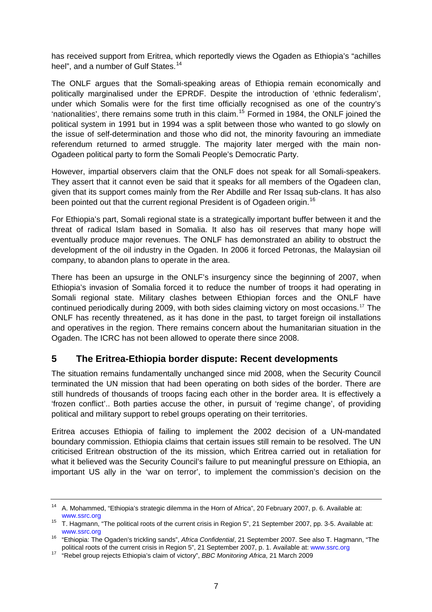<span id="page-6-0"></span>has received support from Eritrea, which reportedly views the Ogaden as Ethiopia's "achilles heel", and a number of Gulf States.<sup>[14](#page-6-1)</sup>

The ONLF argues that the Somali-speaking areas of Ethiopia remain economically and politically marginalised under the EPRDF. Despite the introduction of 'ethnic federalism', under which Somalis were for the first time officially recognised as one of the country's 'nationalities', there remains some truth in this claim.[15](#page-6-2) Formed in 1984, the ONLF joined the political system in 1991 but in 1994 was a split between those who wanted to go slowly on the issue of self-determination and those who did not, the minority favouring an immediate referendum returned to armed struggle. The majority later merged with the main non-Ogadeen political party to form the Somali People's Democratic Party.

However, impartial observers claim that the ONLF does not speak for all Somali-speakers. They assert that it cannot even be said that it speaks for all members of the Ogadeen clan, given that its support comes mainly from the Rer Abdille and Rer Issaq sub-clans. It has also been pointed out that the current regional President is of Ogadeen origin.<sup>[16](#page-6-3)</sup>

For Ethiopia's part, Somali regional state is a strategically important buffer between it and the threat of radical Islam based in Somalia. It also has oil reserves that many hope will eventually produce major revenues. The ONLF has demonstrated an ability to obstruct the development of the oil industry in the Ogaden. In 2006 it forced Petronas, the Malaysian oil company, to abandon plans to operate in the area.

There has been an upsurge in the ONLF's insurgency since the beginning of 2007, when Ethiopia's invasion of Somalia forced it to reduce the number of troops it had operating in Somali regional state. Military clashes between Ethiopian forces and the ONLF have continued periodically during 2009, with both sides claiming victory on most occasions.[17](#page-6-4) The ONLF has recently threatened, as it has done in the past, to target foreign oil installations and operatives in the region. There remains concern about the humanitarian situation in the Ogaden. The ICRC has not been allowed to operate there since 2008.

## **5 The Eritrea-Ethiopia border dispute: Recent developments**

The situation remains fundamentally unchanged since mid 2008, when the Security Council terminated the UN mission that had been operating on both sides of the border. There are still hundreds of thousands of troops facing each other in the border area. It is effectively a 'frozen conflict'.. Both parties accuse the other, in pursuit of 'regime change', of providing political and military support to rebel groups operating on their territories.

Eritrea accuses Ethiopia of failing to implement the 2002 decision of a UN-mandated boundary commission. Ethiopia claims that certain issues still remain to be resolved. The UN criticised Eritrean obstruction of the its mission, which Eritrea carried out in retaliation for what it believed was the Security Council's failure to put meaningful pressure on Ethiopia, an important US ally in the 'war on terror', to implement the commission's decision on the

<span id="page-6-1"></span><sup>14</sup> A. Mohammed, "Ethiopia's strategic dilemma in the Horn of Africa", 20 February 2007, p. 6. Available at:

<span id="page-6-2"></span>[www.ssrc.org](http://www.ssrc.org/)<br><sup>15</sup> T. Hagmann, "The political roots of the current crisis in Region 5", 21 September 2007, pp. 3-5. Available at:

<span id="page-6-3"></span>[www.ssrc.org](http://www.ssrc.org/) 16 "Ethiopia: The Ogaden's trickling sands", *Africa Confidential*, 21 September 2007. See also T. Hagmann, "The

<span id="page-6-4"></span><sup>&</sup>lt;sup>17</sup> "Rebel group rejects Ethiopia's claim of victory", BBC Monitoring Africa, 21 March 2009